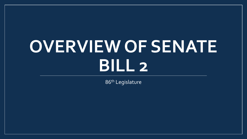# **OVERVIEW OF SENATE BILL 2**

86th Legislature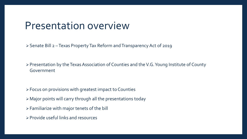#### Presentation overview

Senate Bill 2 –Texas Property Tax Reform and Transparency Act of 2019

Presentation by the Texas Association of Counties and the V.G. Young Institute of County Government

- Focus on provisions with greatest impact to Counties
- Major points will carry through all the presentations today
- Familiarize with major tenets of the bill
- Provide useful links and resources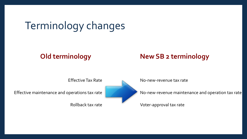### Terminology changes

#### **Old terminology New SB 2 terminology**

Effective maintenance and operations tax rate

Rollback tax rate

Effective Tax Rate

No-new-revenue tax rate

No-new-revenue maintenance and operation tax rate

Voter-approval tax rate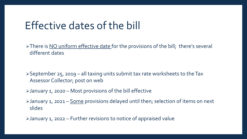#### Effective dates of the bill

> There is NO uniform effective date for the provisions of the bill; there's several different dates

 $\triangleright$  September 25, 2019 – all taxing units submit tax rate worksheets to the Tax Assessor Collector; post on web

January 1, 2020 – Most provisions of the bill effective

>January 1, 2021 – Some provisions delayed until then; selection of items on next slides

January 1, 2022 – Further revisions to notice of appraised value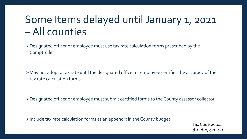### Some Items delayed until January 1, 2021 –All counties

Designated officer or employee must use tax rate calculation forms prescribed by the Comptroller

May not adopt a tax rate until the designated officer or employee certifies the accuracy of the tax rate calculation forms

Designated officer or employee must submit certified forms to the County assessor collector

Include tax rate calculation forms as an appendix in the County budget

Tax Code 26.04 d-1, d-2, d-3, e-5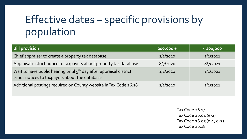## Effective dates – specific provisions by population

| <b>Bill provision</b>                                                                                                           | $200,000 +$ | $200,000$ |
|---------------------------------------------------------------------------------------------------------------------------------|-------------|-----------|
| Chief appraiser to create a property tax database                                                                               | 1/1/2020    | 1/1/2021  |
| Appraisal district notice to taxpayers about property tax database                                                              | 8/7/2020    | 8/7/2021  |
| Wait to have public hearing until 5 <sup>th</sup> day after appraisal district<br>sends notices to taxpayers about the database | 1/1/2020    | 1/1/2021  |
| Additional postings required on County website in Tax Code 26.18                                                                | 1/1/2020    | 1/1/2021  |

Tax Code 26.17 Tax Code 26.04 (e-2) Tax Code 26.05 (d-1, d-2) Tax Code 26.18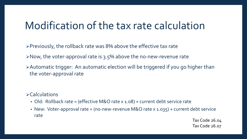#### Modification of the tax rate calculation

Previously, the rollback rate was 8% above the effective tax rate

- $\triangleright$  Now, the voter-approval rate is 3.5% above the no-new-revenue rate
- Automatic trigger: An automatic election will be triggered if you go higher than the voter-approval rate

 $\triangleright$  Calculations

- Old: Rollback rate = (effective M&O rate x 1.08) + current debt service rate
- New: Voter-approval rate = (no-new-revenue M&O rate x 1.035) + current debt service rate

Tax Code 26.04 Tax Code 26.07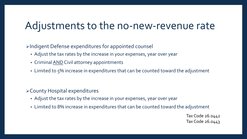#### Adjustments to the no-new-revenue rate

Indigent Defense expenditures for appointed counsel

- Adjust the tax rates by the increase in your expenses, year over year
- Criminal **AND** Civil attorney appointments
- Limited to 5% increase in expenditures that can be counted toward the adjustment

County Hospital expenditures

- Adjust the tax rates by the increase in your expenses, year over year
- Limited to 8% increase in expenditures that can be counted toward the adjustment

Tax Code 26.0442 Tax Code 26.0443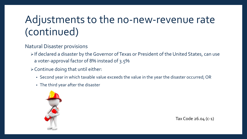### Adjustments to the no-new-revenue rate (continued)

#### Natural Disaster provisions

- > If declared a disaster by the Governor of Texas or President of the United States, can use a voter-approval factor of 8% instead of 3.5%
- $\triangleright$  Continue doing that until either:
	- Second year in which taxable value exceeds the value in the year the disaster occurred; OR
	- The third year after the disaster



Tax Code 26.04 (c-1)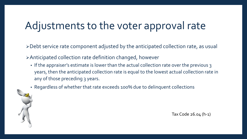### Adjustments to the voter approval rate

Debt service rate component adjusted by the anticipated collection rate, as usual

Anticipated collection rate definition changed, however

- If the appraiser's estimate is lower than the actual collection rate over the previous 3 years, then the anticipated collection rate is equal to the lowest actual collection rate in any of those preceding 3 years.
- Regardless of whether that rate exceeds 100% due to delinquent collections

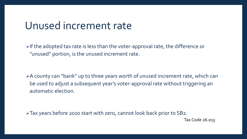#### Unused increment rate

 $\triangleright$  If the adopted tax rate is less than the voter-approval rate, the difference or "unused" portion, is the unused increment rate.

A county can "bank" up to three years worth of unused increment rate, which can be used to adjust a subsequent year's voter-approval rate without triggering an automatic election.

Tax years before 2020 start with zero, cannot look back prior to SB2.

Tax Code 26.013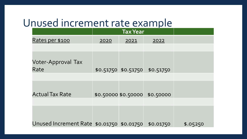#### Unused increment rate example

|                                           | <b>Tax Year</b> |                     |                               |          |
|-------------------------------------------|-----------------|---------------------|-------------------------------|----------|
| Rates per \$100                           | 2020            | 2021                | 2022                          |          |
|                                           |                 |                     |                               |          |
| Voter-Approval Tax<br>Rate                |                 |                     | \$0.51750 \$0.51750 \$0.51750 |          |
|                                           |                 |                     |                               |          |
| <b>Actual Tax Rate</b>                    |                 | \$0.50000 \$0.50000 | \$0.50000                     |          |
|                                           |                 |                     |                               |          |
| Unused Increment Rate \$0.01750 \$0.01750 |                 |                     | \$0.01750                     | \$.05250 |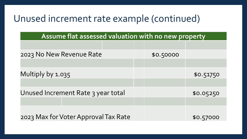#### Unused increment rate example (continued)

| Assume flat assessed valuation with no new property |           |           |  |
|-----------------------------------------------------|-----------|-----------|--|
|                                                     |           |           |  |
| 2023 No New Revenue Rate                            | \$0.50000 |           |  |
|                                                     |           |           |  |
| Multiply by 1.035                                   |           | \$0.51750 |  |
|                                                     |           |           |  |
| Unused Increment Rate 3 year total                  |           | \$0.05250 |  |
|                                                     |           |           |  |
| 2023 Max for Voter Approval Tax Rate                |           | \$0.57000 |  |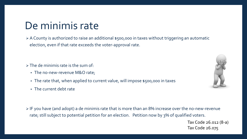#### De minimis rate

 A County is authorized to raise an additional \$500,000 in taxes without triggering an automatic election, even if that rate exceeds the voter-approval rate.

 $\triangleright$  The de minimis rate is the sum of:

- The no-new-revenue M&O rate;
- The rate that, when applied to current value, will impose \$500,000 in taxes
- The current debt rate



 IF you have (and adopt) a de minimis rate that is more than an 8% increase over the no-new-revenue rate; still subject to potential petition for an election. Petition now by 3% of qualified voters.

> Tax Code 26.012 (8-a) Tax Code 26.075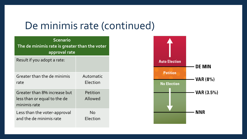#### De minimis rate (continued)

| <b>Scenario</b><br>The de minimis rate is greater than the voter<br>approval rate |                       |  |  |
|-----------------------------------------------------------------------------------|-----------------------|--|--|
| Result if you adopt a rate:                                                       |                       |  |  |
| Greater than the de minimis<br>rate                                               | Automatic<br>Election |  |  |
| Greater than 8% increase but<br>less than or equal to the de<br>minimis rate      | Petition<br>Allowed   |  |  |
| Less than the voter-approval<br>and the de minimis rate                           | <b>No</b><br>Election |  |  |

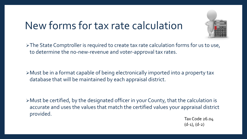#### New forms for tax rate calculation



≻The State Comptroller is required to create tax rate calculation forms for us to use, to determine the no-new-revenue and voter-approval tax rates.

Must be in a format capable of being electronically imported into a property tax database that will be maintained by each appraisal district.

Must be certified, by the designated officer in your County, that the calculation is accurate and uses the values that match the certified values your appraisal district provided.

Tax Code 26.04  $(d-1)$ ,  $(d-2)$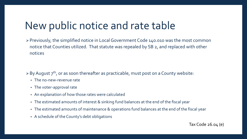#### New public notice and rate table

Previously, the simplified notice in Local Government Code 140.010 was the most common notice that Counties utilized. That statute was repealed by SB 2, and replaced with other notices

 $\triangleright$  By August  $7^{th}$ , or as soon thereafter as practicable, must post on a County website:

- The no-new-revenue rate
- The voter-approval rate
- An explanation of how those rates were calculated
- The estimated amounts of interest & sinking fund balances at the end of the fiscal year
- The estimated amounts of maintenance & operations fund balances at the end of the fiscal year
- A schedule of the County's debt obligations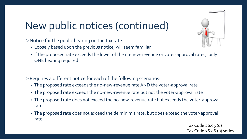### New public notices (continued)

Notice for the public hearing on the tax rate

- Loosely based upon the previous notice, will seem familiar
- If the proposed rate exceeds the lower of the no-new-revenue or voter-approval rates, only ONE hearing required

Requires a different notice for each of the following scenarios:

- The proposed rate exceeds the no-new-revenue rate AND the voter-approval rate
- The proposed rate exceeds the no-new-revenue rate but not the voter-approval rate
- The proposed rate does not exceed the no-new-revenue rate but exceeds the voter-approval rate
- The proposed rate does not exceed the de minimis rate, but does exceed the voter-approval rate

Tax Code 26.05 (d) Tax Code 26.06 (b) series

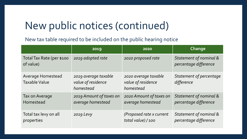#### New public notices (continued)

New tax table required to be included on the public hearing notice

|                                                  | 2019                                                    | 2020                                                    | Change                                          |
|--------------------------------------------------|---------------------------------------------------------|---------------------------------------------------------|-------------------------------------------------|
| Total Tax Rate (per \$100<br>of value)           | 2019 adopted rate                                       | 2020 proposed rate                                      | Statement of nominal &<br>percentage difference |
| <b>Average Homestead</b><br><b>Taxable Value</b> | 2019 average taxable<br>value of residence<br>homestead | 2020 average taxable<br>value of residence<br>homestead | Statement of percentage<br>difference           |
| Tax on Average<br>Homestead                      | 2019 Amount of taxes on<br>average homestead            | 2020 Amount of taxes on<br>average homestead            | Statement of nominal &<br>percentage difference |
| Total tax levy on all<br>properties              | 2019 Levy                                               | (Proposed rate x current<br>total value) / 100          | Statement of nominal &<br>percentage difference |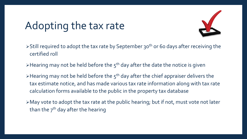### Adopting the tax rate



- $\triangleright$  Still required to adopt the tax rate by September 30<sup>th</sup> or 60 days after receiving the certified roll
- Extemble 1 and  $\epsilon$  held before the  $5<sup>th</sup>$  day after the date the notice is given
- $\triangleright$  Hearing may not be held before the  $5<sup>th</sup>$  day after the chief appraiser delivers the tax estimate notice, and has made various tax rate information along with tax rate calculation forms available to the public in the property tax database
- May vote to adopt the tax rate at the public hearing; but if not, must vote not later than the  $7<sup>th</sup>$  day after the hearing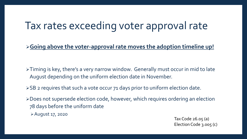#### Tax rates exceeding voter approval rate

**Going above the voter-approval rate moves the adoption timeline up!**

>Timing is key, there's a very narrow window. Generally must occur in mid to late August depending on the uniform election date in November.

>SB 2 requires that such a vote occur 71 days prior to uniform election date.

Does not supersede election code, however, which requires ordering an election 78 days before the uniform date

August 17, 2020

Tax Code 26.05 (a) Election Code 3.005 (c)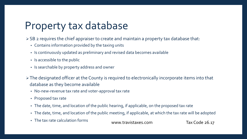### Property tax database

SB 2 requires the chief appraiser to create and maintain a property tax database that:

- Contains information provided by the taxing units
- Is continuously updated as preliminary and revised data becomes available
- Is accessible to the public
- Is searchable by property address and owner
- > The designated officer at the County is required to electronically incorporate items into that database as they become available
	- No-new-revenue tax rate and voter-approval tax rate
	- Proposed tax rate
	- The date, time, and location of the public hearing, if applicable, on the proposed tax rate
	- The date, time, and location of the public meeting, if applicable, at which the tax rate will be adopted
	- The tax rate calculation forms www.travistaxes.com Tax Code 26.17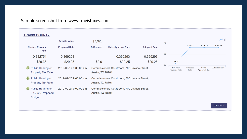#### Sample screenshot from www.travistaxes.com

#### **TRAVIS COUNTY**

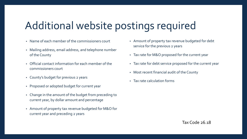#### Additional website postings required

- Name of each member of the commissioners court
- Mailing address, email address, and telephone number of the County
- Official contact information for each member of the commissioners court
- County's budget for previous 2 years
- Proposed or adopted budget for current year
- Change in the amount of the budget from preceding to current year, by dollar amount and percentage
- Amount of property tax revenue budgeted for M&O for current year and preceding 2 years
- Amount of property tax revenue budgeted for debt service for the previous 2 years
- Tax rate for M&O proposed for the current year
- Tax rate for debt service proposed for the current year
- Most recent financial audit of the County
- Tax rate calculation forms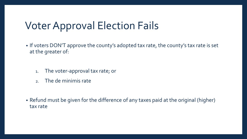#### Voter Approval Election Fails

- If voters DON'T approve the county's adopted tax rate, the county's tax rate is set at the greater of:
	- 1. The voter-approval tax rate; or
	- 2. The de minimis rate
- Refund must be given for the difference of any taxes paid at the original (higher) tax rate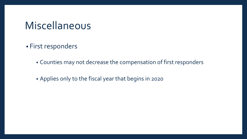#### Miscellaneous

- First responders
	- Counties may not decrease the compensation of first responders
	- Applies only to the fiscal year that begins in 2020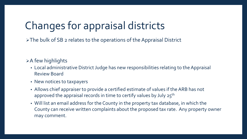### Changes for appraisal districts

The bulk of SB 2 relates to the operations of the Appraisal District

#### $\triangleright$  A few highlights

- Local administrative District Judge has new responsibilities relating to the Appraisal Review Board
- New notices to taxpayers
- Allows chief appraiser to provide a certified estimate of values if the ARB has not approved the appraisal records in time to certify values by July  $25<sup>th</sup>$
- Will list an email address for the County in the property tax database, in which the County can receive written complaints about the proposed tax rate. Any property owner may comment.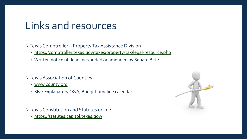#### Links and resources

Texas Comptroller – Property Tax Assistance Division

- <https://comptroller.texas.gov/taxes/property-tax/legal-resource.php>
- Written notice of deadlines added or amended by Senate Bill 2

#### Texas Association of Counties

- [www.county.org](http://www.county.org/)
- SB 2 Explanatory Q&A, Budget timeline calendar

Texas Constitution and Statutes online

• <https://statutes.capitol.texas.gov/>

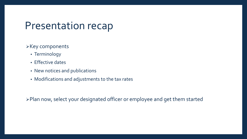#### Presentation recap

#### $\triangleright$  Key components

- Terminology
- Effective dates
- New notices and publications
- Modifications and adjustments to the tax rates

Plan now, select your designated officer or employee and get them started